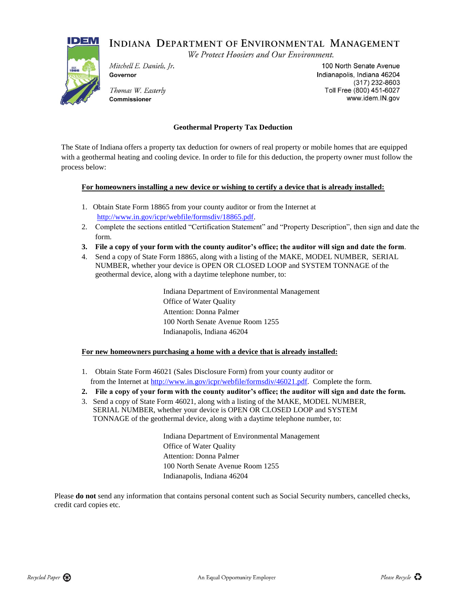## INDIANA DEPARTMENT OF ENVIRONMENTAL MANAGEMENT

We Protect Hoosiers and Our Environment.



Mitchell E. Daniels, Jr. Governor

Thomas W. Easterly Commissioner

100 North Senate Avenue Indianapolis, Indiana 46204  $(317)$  232-8603 Toll Free (800) 451-6027 www.idem.IN.gov

## **Geothermal Property Tax Deduction**

The State of Indiana offers a property tax deduction for owners of real property or mobile homes that are equipped with a geothermal heating and cooling device. In order to file for this deduction, the property owner must follow the process below:

## **For homeowners installing a new device or wishing to certify a device that is already installed:**

- 1. Obtain State Form 18865 from your county auditor or from the Internet at [http://www.in.gov/icpr/webfile/formsdiv/18865.pdf.](http://www.in.gov/icpr/webfile/formsdiv/18865.pdf)
- 2. Complete the sections entitled "Certification Statement" and "Property Description", then sign and date the form.
- **3. File a copy of your form with the county auditor's office; the auditor will sign and date the form**.
- 4. Send a copy of State Form 18865, along with a listing of the MAKE, MODEL NUMBER, SERIAL NUMBER, whether your device is OPEN OR CLOSED LOOP and SYSTEM TONNAGE of the geothermal device, along with a daytime telephone number, to:

Indiana Department of Environmental Management Office of Water Quality Attention: Donna Palmer 100 North Senate Avenue Room 1255 Indianapolis, Indiana 46204

## **For new homeowners purchasing a home with a device that is already installed:**

- 1. Obtain State Form 46021 (Sales Disclosure Form) from your county auditor or from the Internet at [http://www.in.gov/icpr/webfile/formsdiv/46021.pdf.](http://www.in.gov/icpr/webfile/formsdiv/46021.pdf) Complete the form.
- **2. File a copy of your form with the county auditor's office; the auditor will sign and date the form.**
- 3. Send a copy of State Form 46021, along with a listing of the MAKE, MODEL NUMBER, SERIAL NUMBER, whether your device is OPEN OR CLOSED LOOP and SYSTEM TONNAGE of the geothermal device, along with a daytime telephone number, to:

Indiana Department of Environmental Management Office of Water Quality Attention: Donna Palmer 100 North Senate Avenue Room 1255 Indianapolis, Indiana 46204

Please **do not** send any information that contains personal content such as Social Security numbers, cancelled checks, credit card copies etc.